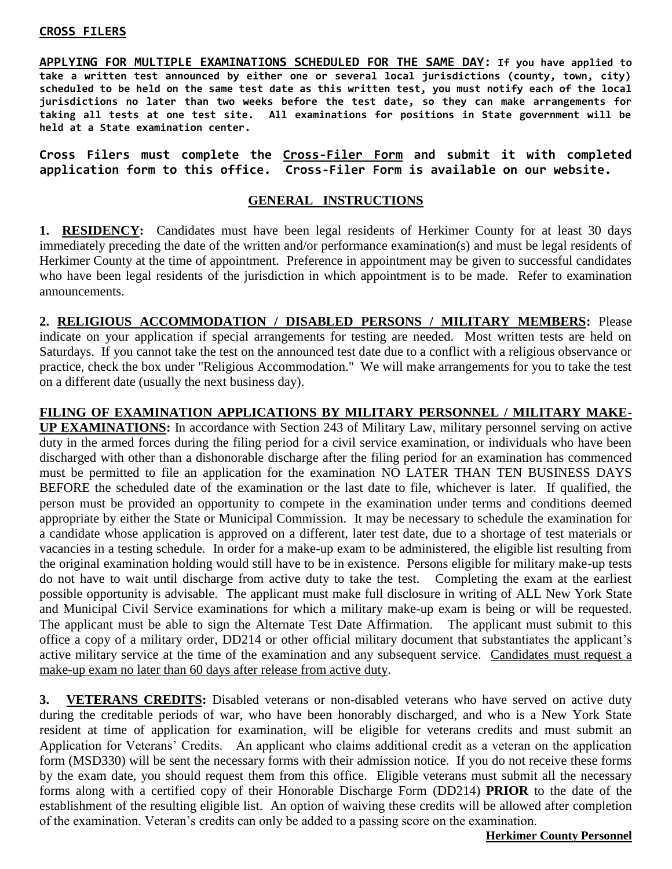#### **CROSS FILERS**

**APPLYING FOR MULTIPLE EXAMINATIONS SCHEDULED FOR THE SAME DAY: If you have applied to take a written test announced by either one or several local jurisdictions (county, town, city) scheduled to be held on the same test date as this written test, you must notify each of the local jurisdictions no later than two weeks before the test date, so they can make arrangements for taking all tests at one test site. All examinations for positions in State government will be held at a State examination center.** 

**Cross Filers must complete the Cross-Filer Form and submit it with completed application form to this office. Cross-Filer Form is available on our website.**

#### **GENERAL INSTRUCTIONS**

**1. RESIDENCY:** Candidates must have been legal residents of Herkimer County for at least 30 days immediately preceding the date of the written and/or performance examination(s) and must be legal residents of Herkimer County at the time of appointment. Preference in appointment may be given to successful candidates who have been legal residents of the jurisdiction in which appointment is to be made. Refer to examination announcements.

**2. RELIGIOUS ACCOMMODATION / DISABLED PERSONS / MILITARY MEMBERS:** Please indicate on your application if special arrangements for testing are needed. Most written tests are held on Saturdays. If you cannot take the test on the announced test date due to a conflict with a religious observance or practice, check the box under "Religious Accommodation." We will make arrangements for you to take the test on a different date (usually the next business day).

# **FILING OF EXAMINATION APPLICATIONS BY MILITARY PERSONNEL / MILITARY MAKE-**

**UP EXAMINATIONS:** In accordance with Section 243 of Military Law, military personnel serving on active duty in the armed forces during the filing period for a civil service examination, or individuals who have been discharged with other than a dishonorable discharge after the filing period for an examination has commenced must be permitted to file an application for the examination NO LATER THAN TEN BUSINESS DAYS BEFORE the scheduled date of the examination or the last date to file, whichever is later. If qualified, the person must be provided an opportunity to compete in the examination under terms and conditions deemed appropriate by either the State or Municipal Commission. It may be necessary to schedule the examination for a candidate whose application is approved on a different, later test date, due to a shortage of test materials or vacancies in a testing schedule. In order for a make-up exam to be administered, the eligible list resulting from the original examination holding would still have to be in existence. Persons eligible for military make-up tests do not have to wait until discharge from active duty to take the test. Completing the exam at the earliest possible opportunity is advisable. The applicant must make full disclosure in writing of ALL New York State and Municipal Civil Service examinations for which a military make-up exam is being or will be requested. The applicant must be able to sign the Alternate Test Date Affirmation. The applicant must submit to this office a copy of a military order, DD214 or other official military document that substantiates the applicant's active military service at the time of the examination and any subsequent service. Candidates must request a make-up exam no later than 60 days after release from active duty.

**3. VETERANS CREDITS:** Disabled veterans or non-disabled veterans who have served on active duty during the creditable periods of war, who have been honorably discharged, and who is a New York State resident at time of application for examination, will be eligible for veterans credits and must submit an Application for Veterans' Credits. An applicant who claims additional credit as a veteran on the application form (MSD330) will be sent the necessary forms with their admission notice. If you do not receive these forms by the exam date, you should request them from this office. Eligible veterans must submit all the necessary forms along with a certified copy of their Honorable Discharge Form (DD214) **PRIOR** to the date of the establishment of the resulting eligible list. An option of waiving these credits will be allowed after completion of the examination. Veteran's credits can only be added to a passing score on the examination.

#### **Herkimer County Personnel**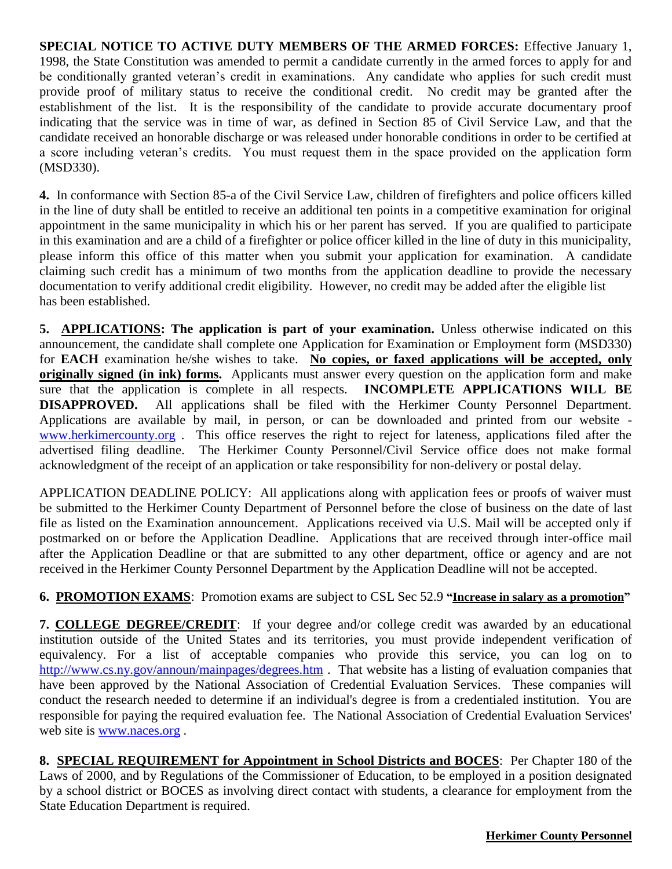**SPECIAL NOTICE TO ACTIVE DUTY MEMBERS OF THE ARMED FORCES:** Effective January 1, 1998, the State Constitution was amended to permit a candidate currently in the armed forces to apply for and be conditionally granted veteran's credit in examinations. Any candidate who applies for such credit must provide proof of military status to receive the conditional credit. No credit may be granted after the establishment of the list. It is the responsibility of the candidate to provide accurate documentary proof indicating that the service was in time of war, as defined in Section 85 of Civil Service Law, and that the candidate received an honorable discharge or was released under honorable conditions in order to be certified at a score including veteran's credits. You must request them in the space provided on the application form (MSD330).

**4.** In conformance with Section 85-a of the Civil Service Law, children of firefighters and police officers killed in the line of duty shall be entitled to receive an additional ten points in a competitive examination for original appointment in the same municipality in which his or her parent has served. If you are qualified to participate in this examination and are a child of a firefighter or police officer killed in the line of duty in this municipality, please inform this office of this matter when you submit your application for examination. A candidate claiming such credit has a minimum of two months from the application deadline to provide the necessary documentation to verify additional credit eligibility. However, no credit may be added after the eligible list has been established.

**5. APPLICATIONS: The application is part of your examination.** Unless otherwise indicated on this announcement, the candidate shall complete one Application for Examination or Employment form (MSD330) for **EACH** examination he/she wishes to take. **No copies, or faxed applications will be accepted, only originally signed (in ink) forms.** Applicants must answer every question on the application form and make sure that the application is complete in all respects. **INCOMPLETE APPLICATIONS WILL BE DISAPPROVED.** All applications shall be filed with the Herkimer County Personnel Department. Applications are available by mail, in person, or can be downloaded and printed from our website [www.herkimercounty.org](http://www.herkimercounty.org/) . This office reserves the right to reject for lateness, applications filed after the advertised filing deadline. The Herkimer County Personnel/Civil Service office does not make formal acknowledgment of the receipt of an application or take responsibility for non-delivery or postal delay.

APPLICATION DEADLINE POLICY: All applications along with application fees or proofs of waiver must be submitted to the Herkimer County Department of Personnel before the close of business on the date of last file as listed on the Examination announcement. Applications received via U.S. Mail will be accepted only if postmarked on or before the Application Deadline. Applications that are received through inter-office mail after the Application Deadline or that are submitted to any other department, office or agency and are not received in the Herkimer County Personnel Department by the Application Deadline will not be accepted.

# **6. PROMOTION EXAMS**: Promotion exams are subject to CSL Sec 52.9 **"Increase in salary as a promotion"**

**7. COLLEGE DEGREE/CREDIT**: If your degree and/or college credit was awarded by an educational institution outside of the United States and its territories, you must provide independent verification of equivalency. For a list of acceptable companies who provide this service, you can log on to [http://www.cs.ny.gov/announ/mainpages/degrees.htm](http://www.cs.state.ny.us/announ/mainpages/degrees.htm) . That website has a listing of evaluation companies that have been approved by the National Association of Credential Evaluation Services. These companies will conduct the research needed to determine if an individual's degree is from a credentialed institution. You are responsible for paying the required evaluation fee. The National Association of Credential Evaluation Services' web site is [www.naces.org](http://www.naces.org/) .

**8. SPECIAL REQUIREMENT for Appointment in School Districts and BOCES**: Per Chapter 180 of the Laws of 2000, and by Regulations of the Commissioner of Education, to be employed in a position designated by a school district or BOCES as involving direct contact with students, a clearance for employment from the State Education Department is required.

#### **Herkimer County Personnel**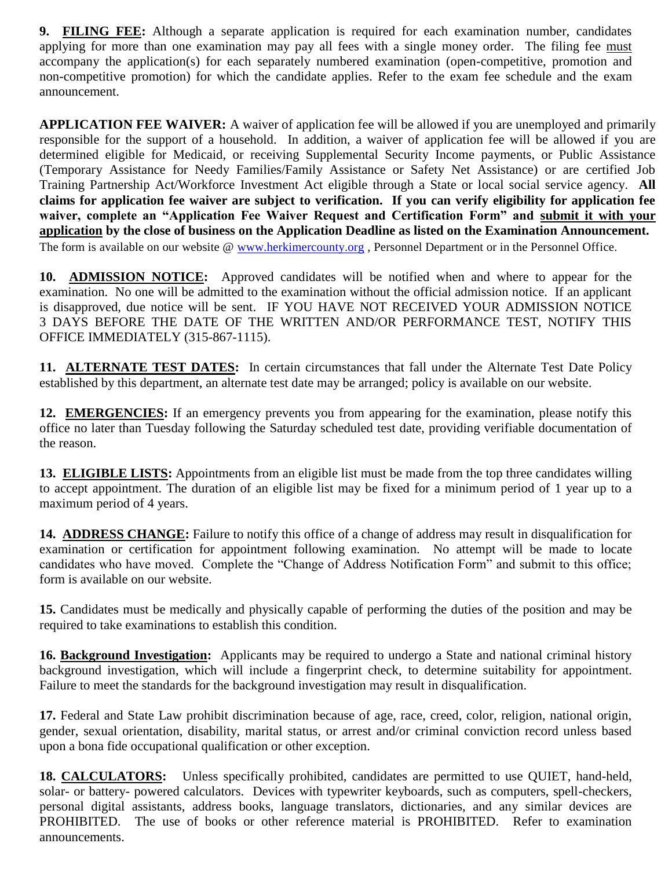**9. FILING FEE:** Although a separate application is required for each examination number, candidates applying for more than one examination may pay all fees with a single money order. The filing fee must accompany the application(s) for each separately numbered examination (open-competitive, promotion and non-competitive promotion) for which the candidate applies. Refer to the exam fee schedule and the exam announcement.

**APPLICATION FEE WAIVER:** A waiver of application fee will be allowed if you are unemployed and primarily responsible for the support of a household. In addition, a waiver of application fee will be allowed if you are determined eligible for Medicaid, or receiving Supplemental Security Income payments, or Public Assistance (Temporary Assistance for Needy Families/Family Assistance or Safety Net Assistance) or are certified Job Training Partnership Act/Workforce Investment Act eligible through a State or local social service agency. **All claims for application fee waiver are subject to verification. If you can verify eligibility for application fee waiver, complete an "Application Fee Waiver Request and Certification Form" and submit it with your application by the close of business on the Application Deadline as listed on the Examination Announcement.**  The form is available on our website @ [www.herkimercounty.org](http://www.herkimercounty.org/), Personnel Department or in the Personnel Office.

**10. ADMISSION NOTICE:** Approved candidates will be notified when and where to appear for the examination. No one will be admitted to the examination without the official admission notice. If an applicant is disapproved, due notice will be sent. IF YOU HAVE NOT RECEIVED YOUR ADMISSION NOTICE 3 DAYS BEFORE THE DATE OF THE WRITTEN AND/OR PERFORMANCE TEST, NOTIFY THIS OFFICE IMMEDIATELY (315-867-1115).

**11. ALTERNATE TEST DATES:** In certain circumstances that fall under the Alternate Test Date Policy established by this department, an alternate test date may be arranged; policy is available on our website.

**12. EMERGENCIES:** If an emergency prevents you from appearing for the examination, please notify this office no later than Tuesday following the Saturday scheduled test date, providing verifiable documentation of the reason.

**13. ELIGIBLE LISTS:** Appointments from an eligible list must be made from the top three candidates willing to accept appointment. The duration of an eligible list may be fixed for a minimum period of 1 year up to a maximum period of 4 years.

**14. ADDRESS CHANGE:** Failure to notify this office of a change of address may result in disqualification for examination or certification for appointment following examination. No attempt will be made to locate candidates who have moved. Complete the "Change of Address Notification Form" and submit to this office; form is available on our website.

**15.** Candidates must be medically and physically capable of performing the duties of the position and may be required to take examinations to establish this condition.

**16. Background Investigation:** Applicants may be required to undergo a State and national criminal history background investigation, which will include a fingerprint check, to determine suitability for appointment. Failure to meet the standards for the background investigation may result in disqualification.

**17.** Federal and State Law prohibit discrimination because of age, race, creed, color, religion, national origin, gender, sexual orientation, disability, marital status, or arrest and/or criminal conviction record unless based upon a bona fide occupational qualification or other exception.

**18. CALCULATORS:** Unless specifically prohibited, candidates are permitted to use QUIET, hand-held, solar- or battery- powered calculators. Devices with typewriter keyboards, such as computers, spell-checkers, personal digital assistants, address books, language translators, dictionaries, and any similar devices are PROHIBITED. The use of books or other reference material is PROHIBITED. Refer to examination announcements.